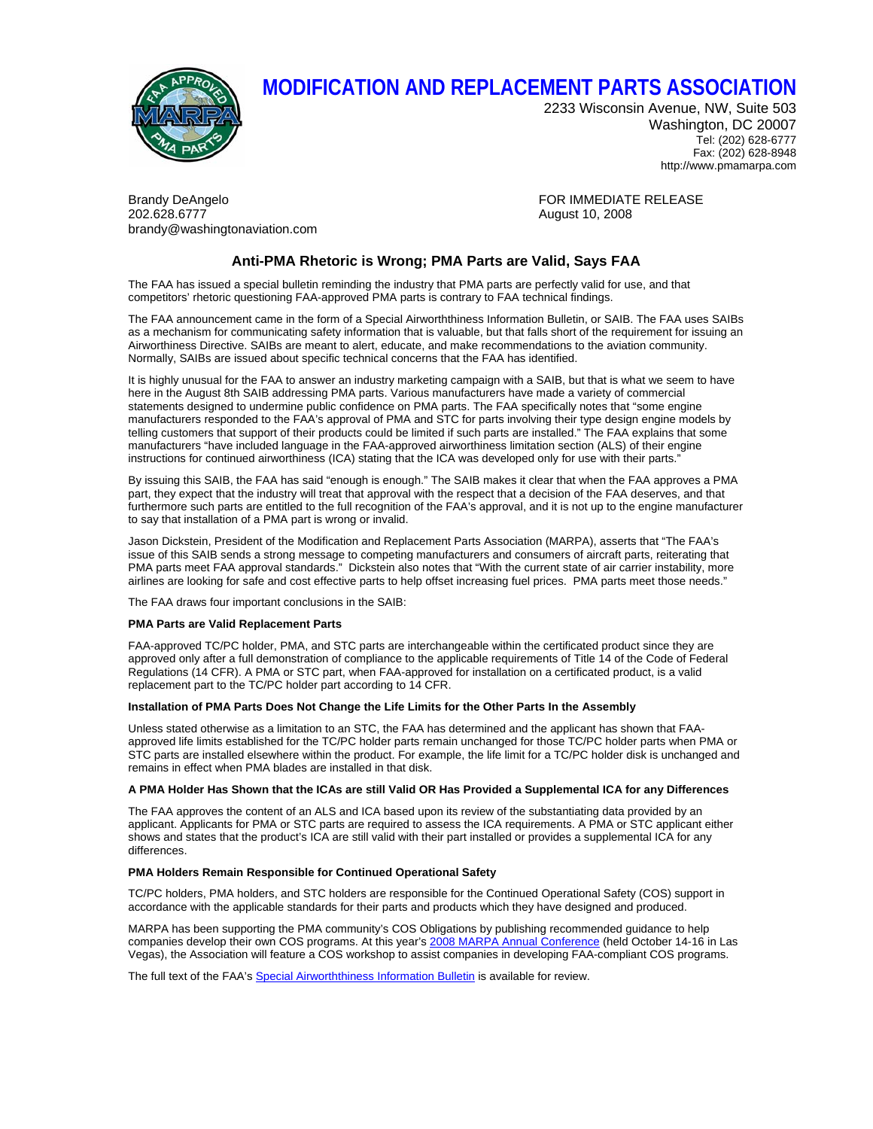

# **MODIFICATION AND REPLACEMENT PARTS ASSOCIATION**

2233 Wisconsin Avenue, NW, Suite 503 Washington, DC 20007 Tel: (202) 628-6777 Fax: (202) 628-8948 http://www.pmamarpa.com

Brandy DeAngelo Formulation of the Control of the FOR IMMEDIATE RELEASE 202.628.6777 August 10, 2008 brandy@washingtonaviation.com

## **Anti-PMA Rhetoric is Wrong; PMA Parts are Valid, Says FAA**

The FAA has issued a special bulletin reminding the industry that PMA parts are perfectly valid for use, and that competitors' rhetoric questioning FAA-approved PMA parts is contrary to FAA technical findings.

The FAA announcement came in the form of a Special Airworththiness Information Bulletin, or SAIB. The FAA uses SAIBs as a mechanism for communicating safety information that is valuable, but that falls short of the requirement for issuing an Airworthiness Directive. SAIBs are meant to alert, educate, and make recommendations to the aviation community. Normally, SAIBs are issued about specific technical concerns that the FAA has identified.

It is highly unusual for the FAA to answer an industry marketing campaign with a SAIB, but that is what we seem to have here in the August 8th SAIB addressing PMA parts. Various manufacturers have made a variety of commercial statements designed to undermine public confidence on PMA parts. The FAA specifically notes that "some engine manufacturers responded to the FAA's approval of PMA and STC for parts involving their type design engine models by telling customers that support of their products could be limited if such parts are installed." The FAA explains that some manufacturers "have included language in the FAA-approved airworthiness limitation section (ALS) of their engine instructions for continued airworthiness (ICA) stating that the ICA was developed only for use with their parts."

By issuing this SAIB, the FAA has said "enough is enough." The SAIB makes it clear that when the FAA approves a PMA part, they expect that the industry will treat that approval with the respect that a decision of the FAA deserves, and that furthermore such parts are entitled to the full recognition of the FAA's approval, and it is not up to the engine manufacturer to say that installation of a PMA part is wrong or invalid.

Jason Dickstein, President of the Modification and Replacement Parts Association (MARPA), asserts that "The FAA's issue of this SAIB sends a strong message to competing manufacturers and consumers of aircraft parts, reiterating that PMA parts meet FAA approval standards." Dickstein also notes that "With the current state of air carrier instability, more airlines are looking for safe and cost effective parts to help offset increasing fuel prices. PMA parts meet those needs."

The FAA draws four important conclusions in the SAIB:

### **PMA Parts are Valid Replacement Parts**

FAA-approved TC/PC holder, PMA, and STC parts are interchangeable within the certificated product since they are approved only after a full demonstration of compliance to the applicable requirements of Title 14 of the Code of Federal Regulations (14 CFR). A PMA or STC part, when FAA-approved for installation on a certificated product, is a valid replacement part to the TC/PC holder part according to 14 CFR.

### **Installation of PMA Parts Does Not Change the Life Limits for the Other Parts In the Assembly**

Unless stated otherwise as a limitation to an STC, the FAA has determined and the applicant has shown that FAAapproved life limits established for the TC/PC holder parts remain unchanged for those TC/PC holder parts when PMA or STC parts are installed elsewhere within the product. For example, the life limit for a TC/PC holder disk is unchanged and remains in effect when PMA blades are installed in that disk.

### **A PMA Holder Has Shown that the ICAs are still Valid OR Has Provided a Supplemental ICA for any Differences**

The FAA approves the content of an ALS and ICA based upon its review of the substantiating data provided by an applicant. Applicants for PMA or STC parts are required to assess the ICA requirements. A PMA or STC applicant either shows and states that the product's ICA are still valid with their part installed or provides a supplemental ICA for any differences.

### **PMA Holders Remain Responsible for Continued Operational Safety**

TC/PC holders, PMA holders, and STC holders are responsible for the Continued Operational Safety (COS) support in accordance with the applicable standards for their parts and products which they have designed and produced.

MARPA has been supporting the PMA community's COS Obligations by publishing recommended guidance to help companies develop their own COS programs. At this year's 2008 MARPA Annual Conference (held October 14-16 in Las Vegas), the Association will feature a COS workshop to assist companies in developing FAA-compliant COS programs.

The full text of the FAA's Special Airworththiness Information Bulletin is available for review.